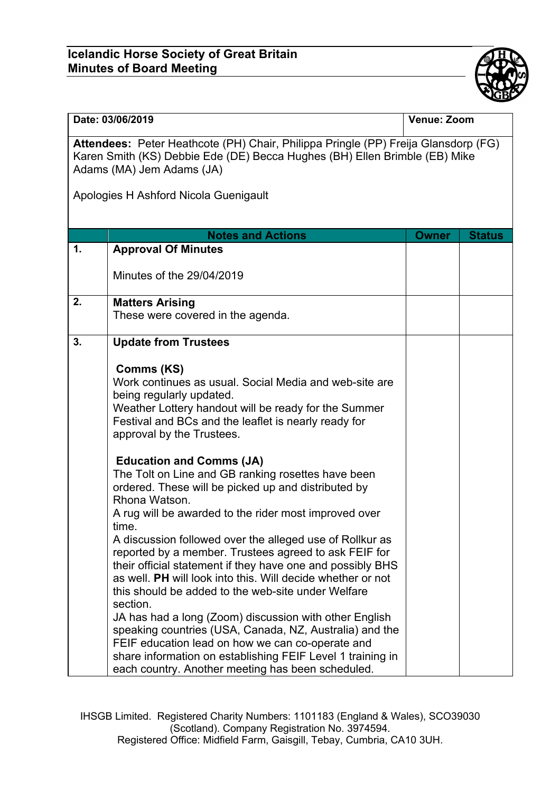## **Icelandic Horse Society of Great Britain Minutes of Board Meeting**



## **Date: 03/06/2019 Venue: Zoom**

**Attendees:** Peter Heathcote (PH) Chair, Philippa Pringle (PP) Freija Glansdorp (FG) Karen Smith (KS) Debbie Ede (DE) Becca Hughes (BH) Ellen Brimble (EB) Mike Adams (MA) Jem Adams (JA)

Apologies H Ashford Nicola Guenigault

|                | <b>Notes and Actions</b>                                                                                                                                                                                                                                                                                                                                                                                                                                                                                                                                                                                              | <b>Owner</b> | <b>Status</b> |
|----------------|-----------------------------------------------------------------------------------------------------------------------------------------------------------------------------------------------------------------------------------------------------------------------------------------------------------------------------------------------------------------------------------------------------------------------------------------------------------------------------------------------------------------------------------------------------------------------------------------------------------------------|--------------|---------------|
| $\mathbf{1}$ . | <b>Approval Of Minutes</b>                                                                                                                                                                                                                                                                                                                                                                                                                                                                                                                                                                                            |              |               |
|                | Minutes of the 29/04/2019                                                                                                                                                                                                                                                                                                                                                                                                                                                                                                                                                                                             |              |               |
| 2.             | <b>Matters Arising</b>                                                                                                                                                                                                                                                                                                                                                                                                                                                                                                                                                                                                |              |               |
|                | These were covered in the agenda.                                                                                                                                                                                                                                                                                                                                                                                                                                                                                                                                                                                     |              |               |
| 3.             | <b>Update from Trustees</b>                                                                                                                                                                                                                                                                                                                                                                                                                                                                                                                                                                                           |              |               |
|                | <b>Comms (KS)</b><br>Work continues as usual. Social Media and web-site are<br>being regularly updated.<br>Weather Lottery handout will be ready for the Summer<br>Festival and BCs and the leaflet is nearly ready for<br>approval by the Trustees.                                                                                                                                                                                                                                                                                                                                                                  |              |               |
|                | <b>Education and Comms (JA)</b><br>The Tolt on Line and GB ranking rosettes have been<br>ordered. These will be picked up and distributed by<br>Rhona Watson.<br>A rug will be awarded to the rider most improved over                                                                                                                                                                                                                                                                                                                                                                                                |              |               |
|                | time.<br>A discussion followed over the alleged use of Rollkur as<br>reported by a member. Trustees agreed to ask FEIF for<br>their official statement if they have one and possibly BHS<br>as well. PH will look into this. Will decide whether or not<br>this should be added to the web-site under Welfare<br>section.<br>JA has had a long (Zoom) discussion with other English<br>speaking countries (USA, Canada, NZ, Australia) and the<br>FEIF education lead on how we can co-operate and<br>share information on establishing FEIF Level 1 training in<br>each country. Another meeting has been scheduled. |              |               |

IHSGB Limited. Registered Charity Numbers: 1101183 (England & Wales), SCO39030 (Scotland). Company Registration No. 3974594. Registered Office: Midfield Farm, Gaisgill, Tebay, Cumbria, CA10 3UH.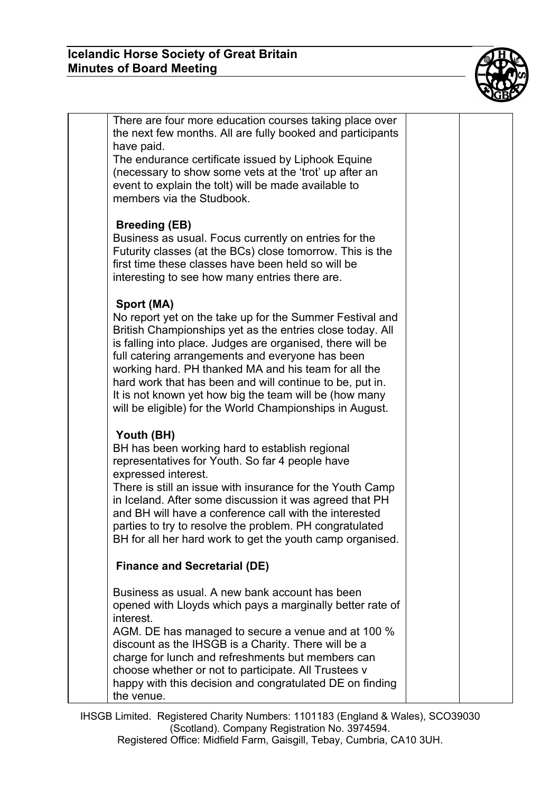

| There are four more education courses taking place over<br>the next few months. All are fully booked and participants<br>have paid.<br>The endurance certificate issued by Liphook Equine<br>(necessary to show some vets at the 'trot' up after an<br>event to explain the tolt) will be made available to<br>members via the Studbook.                                                                                                                                                        |  |
|-------------------------------------------------------------------------------------------------------------------------------------------------------------------------------------------------------------------------------------------------------------------------------------------------------------------------------------------------------------------------------------------------------------------------------------------------------------------------------------------------|--|
| <b>Breeding (EB)</b><br>Business as usual. Focus currently on entries for the<br>Futurity classes (at the BCs) close tomorrow. This is the<br>first time these classes have been held so will be<br>interesting to see how many entries there are.                                                                                                                                                                                                                                              |  |
| Sport (MA)<br>No report yet on the take up for the Summer Festival and<br>British Championships yet as the entries close today. All<br>is falling into place. Judges are organised, there will be<br>full catering arrangements and everyone has been<br>working hard. PH thanked MA and his team for all the<br>hard work that has been and will continue to be, put in.<br>It is not known yet how big the team will be (how many<br>will be eligible) for the World Championships in August. |  |
| Youth (BH)<br>BH has been working hard to establish regional<br>representatives for Youth. So far 4 people have<br>expressed interest.<br>There is still an issue with insurance for the Youth Camp<br>in Iceland. After some discussion it was agreed that PH<br>and BH will have a conference call with the interested<br>parties to try to resolve the problem. PH congratulated<br>BH for all her hard work to get the youth camp organised.<br><b>Finance and Secretarial (DE)</b>         |  |
|                                                                                                                                                                                                                                                                                                                                                                                                                                                                                                 |  |
| Business as usual. A new bank account has been<br>opened with Lloyds which pays a marginally better rate of<br>interest.<br>AGM. DE has managed to secure a venue and at 100 %<br>discount as the IHSGB is a Charity. There will be a<br>charge for lunch and refreshments but members can<br>choose whether or not to participate. All Trustees v<br>happy with this decision and congratulated DE on finding<br>the venue.                                                                    |  |

IHSGB Limited. Registered Charity Numbers: 1101183 (England & Wales), SCO39030 (Scotland). Company Registration No. 3974594. Registered Office: Midfield Farm, Gaisgill, Tebay, Cumbria, CA10 3UH.